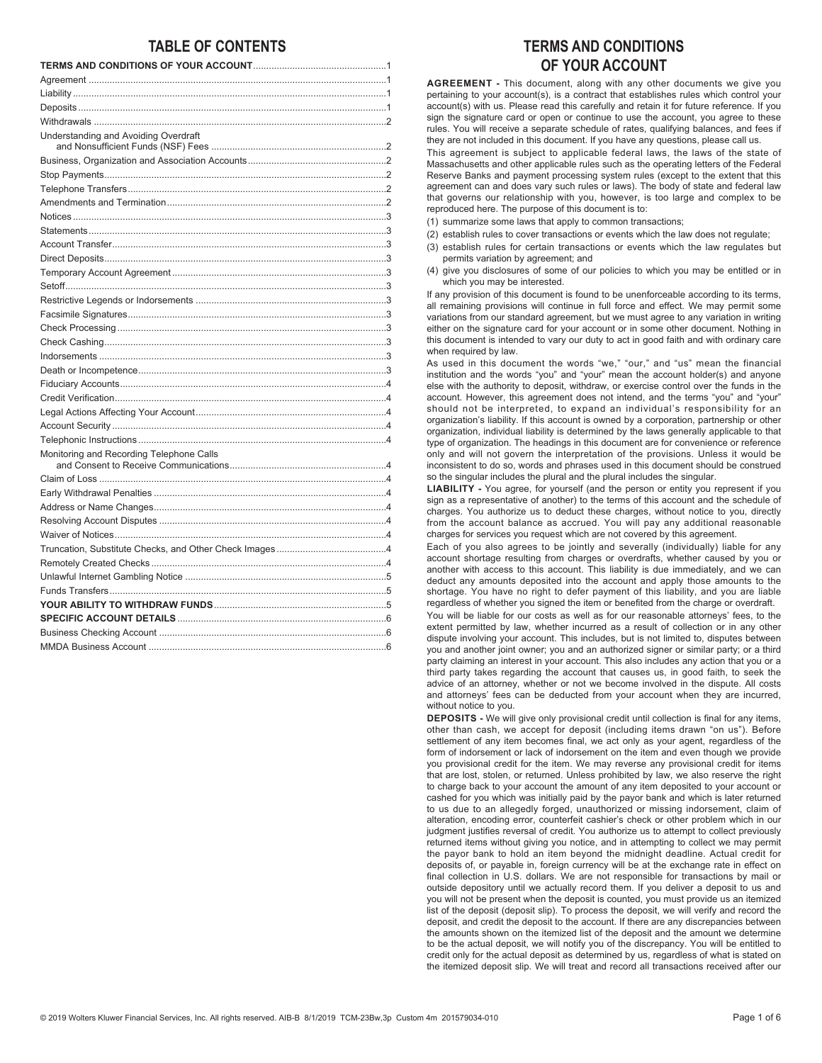# **TABLE OF CONTENTS**

| Understanding and Avoiding Overdraft     |
|------------------------------------------|
|                                          |
|                                          |
|                                          |
|                                          |
|                                          |
|                                          |
|                                          |
|                                          |
|                                          |
|                                          |
|                                          |
|                                          |
|                                          |
|                                          |
|                                          |
|                                          |
|                                          |
|                                          |
|                                          |
|                                          |
|                                          |
| Monitoring and Recording Telephone Calls |
|                                          |
|                                          |
|                                          |
|                                          |
|                                          |
|                                          |
|                                          |
|                                          |
|                                          |
|                                          |
|                                          |
|                                          |
|                                          |

# **TERMS AND CONDITIONS OF YOUR ACCOUNT**

**AGREEMENT -** This document, along with any other documents we give you pertaining to your account(s), is a contract that establishes rules which control your account(s) with us. Please read this carefully and retain it for future reference. If you sign the signature card or open or continue to use the account, you agree to these rules. You will receive a separate schedule of rates, qualifying balances, and fees if they are not included in this document. If you have any questions, please call us.

This agreement is subject to applicable federal laws, the laws of the state of Massachusetts and other applicable rules such as the operating letters of the Federal Reserve Banks and payment processing system rules (except to the extent that this agreement can and does vary such rules or laws). The body of state and federal law that governs our relationship with you, however, is too large and complex to be reproduced here. The purpose of this document is to:

- (1) summarize some laws that apply to common transactions;
- (2) establish rules to cover transactions or events which the law does not regulate;
- (3) establish rules for certain transactions or events which the law regulates but permits variation by agreement; and
- (4) give you disclosures of some of our policies to which you may be entitled or in which you may be interested.

If any provision of this document is found to be unenforceable according to its terms, all remaining provisions will continue in full force and effect. We may permit some variations from our standard agreement, but we must agree to any variation in writing either on the signature card for your account or in some other document. Nothing in this document is intended to vary our duty to act in good faith and with ordinary care when required by law.

As used in this document the words "we," "our," and "us" mean the financial institution and the words "you" and "your" mean the account holder(s) and anyone else with the authority to deposit, withdraw, or exercise control over the funds in the account. However, this agreement does not intend, and the terms "you" and "your" should not be interpreted, to expand an individual's responsibility for an organization's liability. If this account is owned by a corporation, partnership or other organization, individual liability is determined by the laws generally applicable to that type of organization. The headings in this document are for convenience or reference only and will not govern the interpretation of the provisions. Unless it would be inconsistent to do so, words and phrases used in this document should be construed so the singular includes the plural and the plural includes the singular.

**LIABILITY -** You agree, for yourself (and the person or entity you represent if you sign as a representative of another) to the terms of this account and the schedule of charges. You authorize us to deduct these charges, without notice to you, directly from the account balance as accrued. You will pay any additional reasonable charges for services you request which are not covered by this agreement.

Each of you also agrees to be jointly and severally (individually) liable for any account shortage resulting from charges or overdrafts, whether caused by you or another with access to this account. This liability is due immediately, and we can deduct any amounts deposited into the account and apply those amounts to the shortage. You have no right to defer payment of this liability, and you are liable regardless of whether you signed the item or benefited from the charge or overdraft.

You will be liable for our costs as well as for our reasonable attorneys' fees, to the extent permitted by law, whether incurred as a result of collection or in any other dispute involving your account. This includes, but is not limited to, disputes between you and another joint owner; you and an authorized signer or similar party; or a third party claiming an interest in your account. This also includes any action that you or a third party takes regarding the account that causes us, in good faith, to seek the advice of an attorney, whether or not we become involved in the dispute. All costs and attorneys' fees can be deducted from your account when they are incurred, without notice to you.

**DEPOSITS -** We will give only provisional credit until collection is final for any items, other than cash, we accept for deposit (including items drawn "on us"). Before settlement of any item becomes final, we act only as your agent, regardless of the form of indorsement or lack of indorsement on the item and even though we provide you provisional credit for the item. We may reverse any provisional credit for items that are lost, stolen, or returned. Unless prohibited by law, we also reserve the right to charge back to your account the amount of any item deposited to your account or cashed for you which was initially paid by the payor bank and which is later returned to us due to an allegedly forged, unauthorized or missing indorsement, claim of alteration, encoding error, counterfeit cashier's check or other problem which in our judgment justifies reversal of credit. You authorize us to attempt to collect previously returned items without giving you notice, and in attempting to collect we may permit the payor bank to hold an item beyond the midnight deadline. Actual credit for deposits of, or payable in, foreign currency will be at the exchange rate in effect on final collection in U.S. dollars. We are not responsible for transactions by mail or outside depository until we actually record them. If you deliver a deposit to us and you will not be present when the deposit is counted, you must provide us an itemized list of the deposit (deposit slip). To process the deposit, we will verify and record the deposit, and credit the deposit to the account. If there are any discrepancies between the amounts shown on the itemized list of the deposit and the amount we determine to be the actual deposit, we will notify you of the discrepancy. You will be entitled to credit only for the actual deposit as determined by us, regardless of what is stated on the itemized deposit slip. We will treat and record all transactions received after our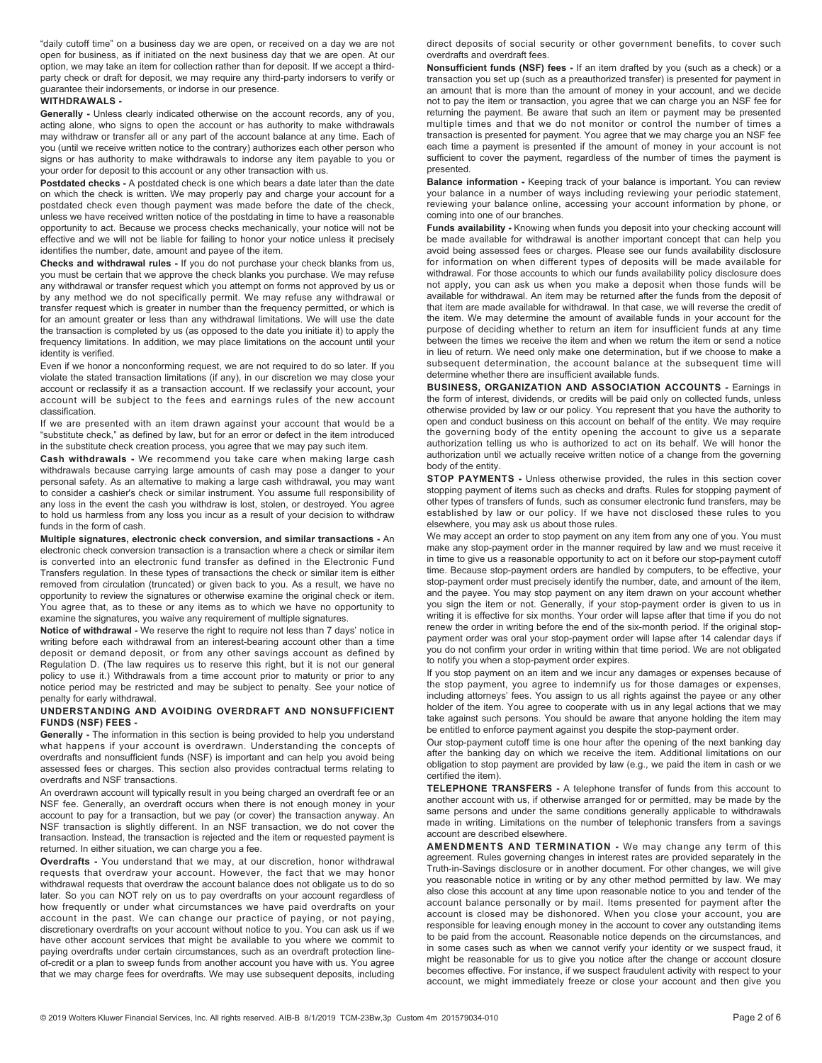"daily cutoff time" on a business day we are open, or received on a day we are not open for business, as if initiated on the next business day that we are open. At our option, we may take an item for collection rather than for deposit. If we accept a thirdparty check or draft for deposit, we may require any third-party indorsers to verify or guarantee their indorsements, or indorse in our presence.

### **WITHDRAWALS -**

**Generally -** Unless clearly indicated otherwise on the account records, any of you, acting alone, who signs to open the account or has authority to make withdrawals may withdraw or transfer all or any part of the account balance at any time. Each of you (until we receive written notice to the contrary) authorizes each other person who signs or has authority to make withdrawals to indorse any item payable to you or your order for deposit to this account or any other transaction with us.

**Postdated checks -** A postdated check is one which bears a date later than the date on which the check is written. We may properly pay and charge your account for a postdated check even though payment was made before the date of the check, unless we have received written notice of the postdating in time to have a reasonable opportunity to act. Because we process checks mechanically, your notice will not be effective and we will not be liable for failing to honor your notice unless it precisely identifies the number, date, amount and payee of the item.

**Checks and withdrawal rules -** If you do not purchase your check blanks from us, you must be certain that we approve the check blanks you purchase. We may refuse any withdrawal or transfer request which you attempt on forms not approved by us or by any method we do not specifically permit. We may refuse any withdrawal or transfer request which is greater in number than the frequency permitted, or which is for an amount greater or less than any withdrawal limitations. We will use the date the transaction is completed by us (as opposed to the date you initiate it) to apply the frequency limitations. In addition, we may place limitations on the account until your identity is verified.

Even if we honor a nonconforming request, we are not required to do so later. If you violate the stated transaction limitations (if any), in our discretion we may close your account or reclassify it as a transaction account. If we reclassify your account, your account will be subject to the fees and earnings rules of the new account classification.

If we are presented with an item drawn against your account that would be a "substitute check," as defined by law, but for an error or defect in the item introduced in the substitute check creation process, you agree that we may pay such item.

**Cash withdrawals -** We recommend you take care when making large cash withdrawals because carrying large amounts of cash may pose a danger to your personal safety. As an alternative to making a large cash withdrawal, you may want to consider a cashier's check or similar instrument. You assume full responsibility of any loss in the event the cash you withdraw is lost, stolen, or destroyed. You agree to hold us harmless from any loss you incur as a result of your decision to withdraw funds in the form of cash.

**Multiple signatures, electronic check conversion, and similar transactions -** An electronic check conversion transaction is a transaction where a check or similar item is converted into an electronic fund transfer as defined in the Electronic Fund Transfers regulation. In these types of transactions the check or similar item is either removed from circulation (truncated) or given back to you. As a result, we have no opportunity to review the signatures or otherwise examine the original check or item. You agree that, as to these or any items as to which we have no opportunity to examine the signatures, you waive any requirement of multiple signatures.

**Notice of withdrawal -** We reserve the right to require not less than 7 days' notice in writing before each withdrawal from an interest-bearing account other than a time deposit or demand deposit, or from any other savings account as defined by Regulation D. (The law requires us to reserve this right, but it is not our general policy to use it.) Withdrawals from a time account prior to maturity or prior to any notice period may be restricted and may be subject to penalty. See your notice of penalty for early withdrawal.

#### **UNDERSTANDING AND AVOIDING OVERDRAFT AND NONSUFFICIENT FUNDS (NSF) FEES -**

**Generally -** The information in this section is being provided to help you understand what happens if your account is overdrawn. Understanding the concepts of overdrafts and nonsufficient funds (NSF) is important and can help you avoid being assessed fees or charges. This section also provides contractual terms relating to overdrafts and NSF transactions.

An overdrawn account will typically result in you being charged an overdraft fee or an NSF fee. Generally, an overdraft occurs when there is not enough money in your account to pay for a transaction, but we pay (or cover) the transaction anyway. An NSF transaction is slightly different. In an NSF transaction, we do not cover the transaction. Instead, the transaction is rejected and the item or requested payment is returned. In either situation, we can charge you a fee.

**Overdrafts -** You understand that we may, at our discretion, honor withdrawal requests that overdraw your account. However, the fact that we may honor withdrawal requests that overdraw the account balance does not obligate us to do so later. So you can NOT rely on us to pay overdrafts on your account regardless of how frequently or under what circumstances we have paid overdrafts on your account in the past. We can change our practice of paying, or not paying, discretionary overdrafts on your account without notice to you. You can ask us if we have other account services that might be available to you where we commit to paying overdrafts under certain circumstances, such as an overdraft protection lineof-credit or a plan to sweep funds from another account you have with us. You agree that we may charge fees for overdrafts. We may use subsequent deposits, including

direct deposits of social security or other government benefits, to cover such overdrafts and overdraft fees.

**Nonsufficient funds (NSF) fees -** If an item drafted by you (such as a check) or a transaction you set up (such as a preauthorized transfer) is presented for payment in an amount that is more than the amount of money in your account, and we decide not to pay the item or transaction, you agree that we can charge you an NSF fee for returning the payment. Be aware that such an item or payment may be presented multiple times and that we do not monitor or control the number of times a transaction is presented for payment. You agree that we may charge you an NSF fee each time a payment is presented if the amount of money in your account is not sufficient to cover the payment, regardless of the number of times the payment is presented.

**Balance information -** Keeping track of your balance is important. You can review your balance in a number of ways including reviewing your periodic statement, reviewing your balance online, accessing your account information by phone, or coming into one of our branches.

**Funds availability -** Knowing when funds you deposit into your checking account will be made available for withdrawal is another important concept that can help you avoid being assessed fees or charges. Please see our funds availability disclosure for information on when different types of deposits will be made available for withdrawal. For those accounts to which our funds availability policy disclosure does not apply, you can ask us when you make a deposit when those funds will be available for withdrawal. An item may be returned after the funds from the deposit of that item are made available for withdrawal. In that case, we will reverse the credit of the item. We may determine the amount of available funds in your account for the purpose of deciding whether to return an item for insufficient funds at any time between the times we receive the item and when we return the item or send a notice in lieu of return. We need only make one determination, but if we choose to make a subsequent determination, the account balance at the subsequent time will determine whether there are insufficient available funds.

**BUSINESS, ORGANIZATION AND ASSOCIATION ACCOUNTS -** Earnings in the form of interest, dividends, or credits will be paid only on collected funds, unless otherwise provided by law or our policy. You represent that you have the authority to open and conduct business on this account on behalf of the entity. We may require the governing body of the entity opening the account to give us a separate authorization telling us who is authorized to act on its behalf. We will honor the authorization until we actually receive written notice of a change from the governing body of the entity.

**STOP PAYMENTS -** Unless otherwise provided, the rules in this section cover stopping payment of items such as checks and drafts. Rules for stopping payment of other types of transfers of funds, such as consumer electronic fund transfers, may be established by law or our policy. If we have not disclosed these rules to you elsewhere, you may ask us about those rules.

We may accept an order to stop payment on any item from any one of you. You must make any stop-payment order in the manner required by law and we must receive it in time to give us a reasonable opportunity to act on it before our stop-payment cutoff time. Because stop-payment orders are handled by computers, to be effective, your stop-payment order must precisely identify the number, date, and amount of the item, and the payee. You may stop payment on any item drawn on your account whether you sign the item or not. Generally, if your stop-payment order is given to us in writing it is effective for six months. Your order will lapse after that time if you do not renew the order in writing before the end of the six-month period. If the original stoppayment order was oral your stop-payment order will lapse after 14 calendar days if you do not confirm your order in writing within that time period. We are not obligated to notify you when a stop-payment order expires.

If you stop payment on an item and we incur any damages or expenses because of the stop payment, you agree to indemnify us for those damages or expenses, including attorneys' fees. You assign to us all rights against the payee or any other holder of the item. You agree to cooperate with us in any legal actions that we may take against such persons. You should be aware that anyone holding the item may be entitled to enforce payment against you despite the stop-payment order.

Our stop-payment cutoff time is one hour after the opening of the next banking day after the banking day on which we receive the item. Additional limitations on our obligation to stop payment are provided by law (e.g., we paid the item in cash or we certified the item).

**TELEPHONE TRANSFERS -** A telephone transfer of funds from this account to another account with us, if otherwise arranged for or permitted, may be made by the same persons and under the same conditions generally applicable to withdrawals made in writing. Limitations on the number of telephonic transfers from a savings account are described elsewhere.

**AMENDMENTS AND TERMINATION -** We may change any term of this agreement. Rules governing changes in interest rates are provided separately in the Truth-in-Savings disclosure or in another document. For other changes, we will give you reasonable notice in writing or by any other method permitted by law. We may also close this account at any time upon reasonable notice to you and tender of the account balance personally or by mail. Items presented for payment after the account is closed may be dishonored. When you close your account, you are responsible for leaving enough money in the account to cover any outstanding items to be paid from the account. Reasonable notice depends on the circumstances, and in some cases such as when we cannot verify your identity or we suspect fraud, it might be reasonable for us to give you notice after the change or account closure becomes effective. For instance, if we suspect fraudulent activity with respect to your account, we might immediately freeze or close your account and then give you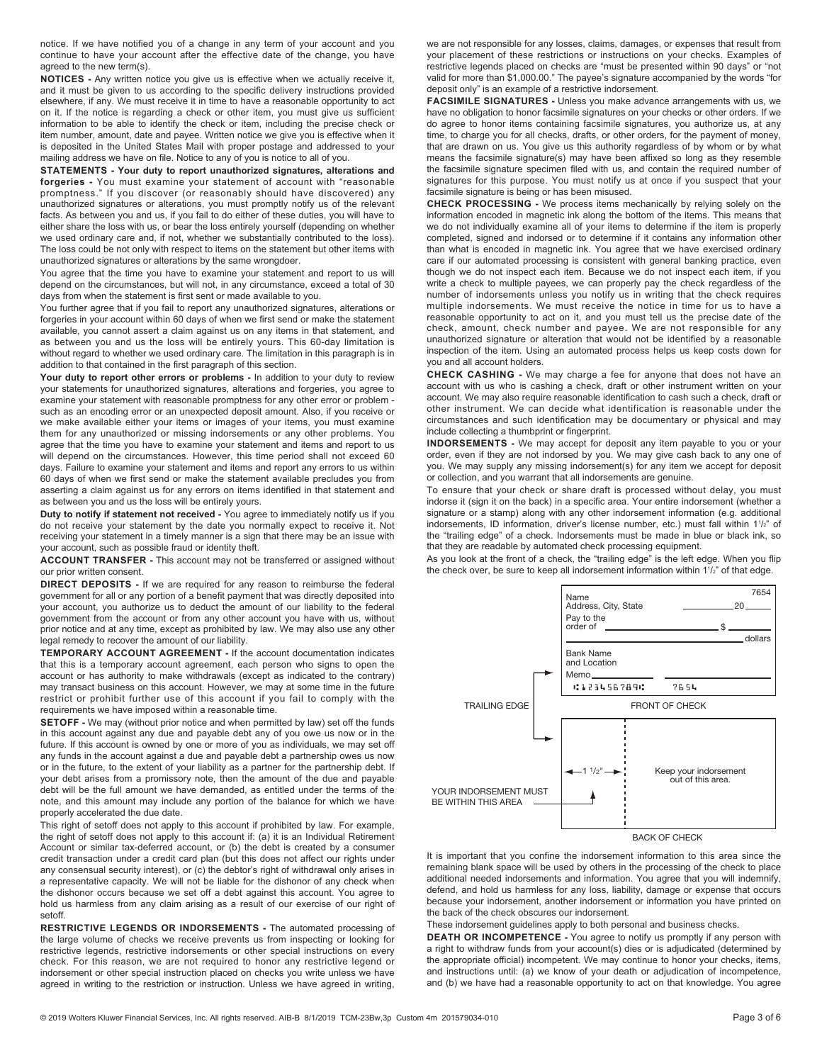notice. If we have notified you of a change in any term of your account and you continue to have your account after the effective date of the change, you have agreed to the new term(s).

**NOTICES -** Any written notice you give us is effective when we actually receive it, and it must be given to us according to the specific delivery instructions provided elsewhere, if any. We must receive it in time to have a reasonable opportunity to act on it. If the notice is regarding a check or other item, you must give us sufficient information to be able to identify the check or item, including the precise check or item number, amount, date and payee. Written notice we give you is effective when it is deposited in the United States Mail with proper postage and addressed to your mailing address we have on file. Notice to any of you is notice to all of you.

**STATEMENTS - Your duty to report unauthorized signatures, alterations and forgeries -** You must examine your statement of account with "reasonable promptness." If you discover (or reasonably should have discovered) any unauthorized signatures or alterations, you must promptly notify us of the relevant facts. As between you and us, if you fail to do either of these duties, you will have to either share the loss with us, or bear the loss entirely yourself (depending on whether we used ordinary care and, if not, whether we substantially contributed to the loss). The loss could be not only with respect to items on the statement but other items with unauthorized signatures or alterations by the same wrongdoer.

You agree that the time you have to examine your statement and report to us will depend on the circumstances, but will not, in any circumstance, exceed a total of 30 days from when the statement is first sent or made available to you.

You further agree that if you fail to report any unauthorized signatures, alterations or forgeries in your account within 60 days of when we first send or make the statement available, you cannot assert a claim against us on any items in that statement, and as between you and us the loss will be entirely yours. This 60-day limitation is without regard to whether we used ordinary care. The limitation in this paragraph is in addition to that contained in the first paragraph of this section.

Your duty to report other errors or problems - In addition to your duty to review your statements for unauthorized signatures, alterations and forgeries, you agree to examine your statement with reasonable promptness for any other error or problem such as an encoding error or an unexpected deposit amount. Also, if you receive or we make available either your items or images of your items, you must examine them for any unauthorized or missing indorsements or any other problems. You agree that the time you have to examine your statement and items and report to us will depend on the circumstances. However, this time period shall not exceed 60 days. Failure to examine your statement and items and report any errors to us within 60 days of when we first send or make the statement available precludes you from asserting a claim against us for any errors on items identified in that statement and as between you and us the loss will be entirely yours.

**Duty to notify if statement not received -** You agree to immediately notify us if you do not receive your statement by the date you normally expect to receive it. Not receiving your statement in a timely manner is a sign that there may be an issue with your account, such as possible fraud or identity theft.

**ACCOUNT TRANSFER -** This account may not be transferred or assigned without our prior written consent.

**DIRECT DEPOSITS -** If we are required for any reason to reimburse the federal government for all or any portion of a benefit payment that was directly deposited into your account, you authorize us to deduct the amount of our liability to the federal government from the account or from any other account you have with us, without prior notice and at any time, except as prohibited by law. We may also use any other legal remedy to recover the amount of our liability.

**TEMPORARY ACCOUNT AGREEMENT -** If the account documentation indicates that this is a temporary account agreement, each person who signs to open the account or has authority to make withdrawals (except as indicated to the contrary) may transact business on this account. However, we may at some time in the future restrict or prohibit further use of this account if you fail to comply with the requirements we have imposed within a reasonable time.

**SETOFF -** We may (without prior notice and when permitted by law) set off the funds in this account against any due and payable debt any of you owe us now or in the future. If this account is owned by one or more of you as individuals, we may set off any funds in the account against a due and payable debt a partnership owes us now or in the future, to the extent of your liability as a partner for the partnership debt. If your debt arises from a promissory note, then the amount of the due and payable debt will be the full amount we have demanded, as entitled under the terms of the note, and this amount may include any portion of the balance for which we have properly accelerated the due date.

This right of setoff does not apply to this account if prohibited by law. For example, the right of setoff does not apply to this account if: (a) it is an Individual Retirement Account or similar tax-deferred account, or (b) the debt is created by a consumer credit transaction under a credit card plan (but this does not affect our rights under any consensual security interest), or (c) the debtor's right of withdrawal only arises in a representative capacity. We will not be liable for the dishonor of any check when the dishonor occurs because we set off a debt against this account. You agree to hold us harmless from any claim arising as a result of our exercise of our right of setoff.

**RESTRICTIVE LEGENDS OR INDORSEMENTS -** The automated processing of the large volume of checks we receive prevents us from inspecting or looking for restrictive legends, restrictive indorsements or other special instructions on every check. For this reason, we are not required to honor any restrictive legend or indorsement or other special instruction placed on checks you write unless we have agreed in writing to the restriction or instruction. Unless we have agreed in writing,

we are not responsible for any losses, claims, damages, or expenses that result from your placement of these restrictions or instructions on your checks. Examples of restrictive legends placed on checks are "must be presented within 90 days" or "not valid for more than \$1,000.00." The payee's signature accompanied by the words "for deposit only" is an example of a restrictive indorsement.

**FACSIMILE SIGNATURES -** Unless you make advance arrangements with us, we have no obligation to honor facsimile signatures on your checks or other orders. If we do agree to honor items containing facsimile signatures, you authorize us, at any time, to charge you for all checks, drafts, or other orders, for the payment of money, that are drawn on us. You give us this authority regardless of by whom or by what means the facsimile signature(s) may have been affixed so long as they resemble the facsimile signature specimen filed with us, and contain the required number of signatures for this purpose. You must notify us at once if you suspect that your facsimile signature is being or has been misused.

**CHECK PROCESSING -** We process items mechanically by relying solely on the information encoded in magnetic ink along the bottom of the items. This means that we do not individually examine all of your items to determine if the item is properly completed, signed and indorsed or to determine if it contains any information other than what is encoded in magnetic ink. You agree that we have exercised ordinary care if our automated processing is consistent with general banking practice, even though we do not inspect each item. Because we do not inspect each item, if you write a check to multiple payees, we can properly pay the check regardless of the number of indorsements unless you notify us in writing that the check requires multiple indorsements. We must receive the notice in time for us to have a reasonable opportunity to act on it, and you must tell us the precise date of the check, amount, check number and payee. We are not responsible for any unauthorized signature or alteration that would not be identified by a reasonable inspection of the item. Using an automated process helps us keep costs down for you and all account holders.

**CHECK CASHING -** We may charge a fee for anyone that does not have an account with us who is cashing a check, draft or other instrument written on your account. We may also require reasonable identification to cash such a check, draft or other instrument. We can decide what identification is reasonable under the circumstances and such identification may be documentary or physical and may include collecting a thumbprint or fingerprint.

**INDORSEMENTS -** We may accept for deposit any item payable to you or your order, even if they are not indorsed by you. We may give cash back to any one of you. We may supply any missing indorsement(s) for any item we accept for deposit or collection, and you warrant that all indorsements are genuine.

To ensure that your check or share draft is processed without delay, you must indorse it (sign it on the back) in a specific area. Your entire indorsement (whether a signature or a stamp) along with any other indorsement information (e.g. additional indorsements, ID information, driver's license number, etc.) must fall within 11/<sub>2</sub>" of the "trailing edge" of a check. Indorsements must be made in blue or black ink, so that they are readable by automated check processing equipment.

As you look at the front of a check, the "trailing edge" is the left edge. When you flip the check over, be sure to keep all indorsement information within  $1^{1/2}$ " of that edge.



It is important that you confine the indorsement information to this area since the remaining blank space will be used by others in the processing of the check to place additional needed indorsements and information. You agree that you will indemnify, defend, and hold us harmless for any loss, liability, damage or expense that occurs because your indorsement, another indorsement or information you have printed on the back of the check obscures our indorsement.

These indorsement guidelines apply to both personal and business checks.

**DEATH OR INCOMPETENCE -** You agree to notify us promptly if any person with a right to withdraw funds from your account(s) dies or is adjudicated (determined by the appropriate official) incompetent. We may continue to honor your checks, items, and instructions until: (a) we know of your death or adjudication of incompetence, and (b) we have had a reasonable opportunity to act on that knowledge. You agree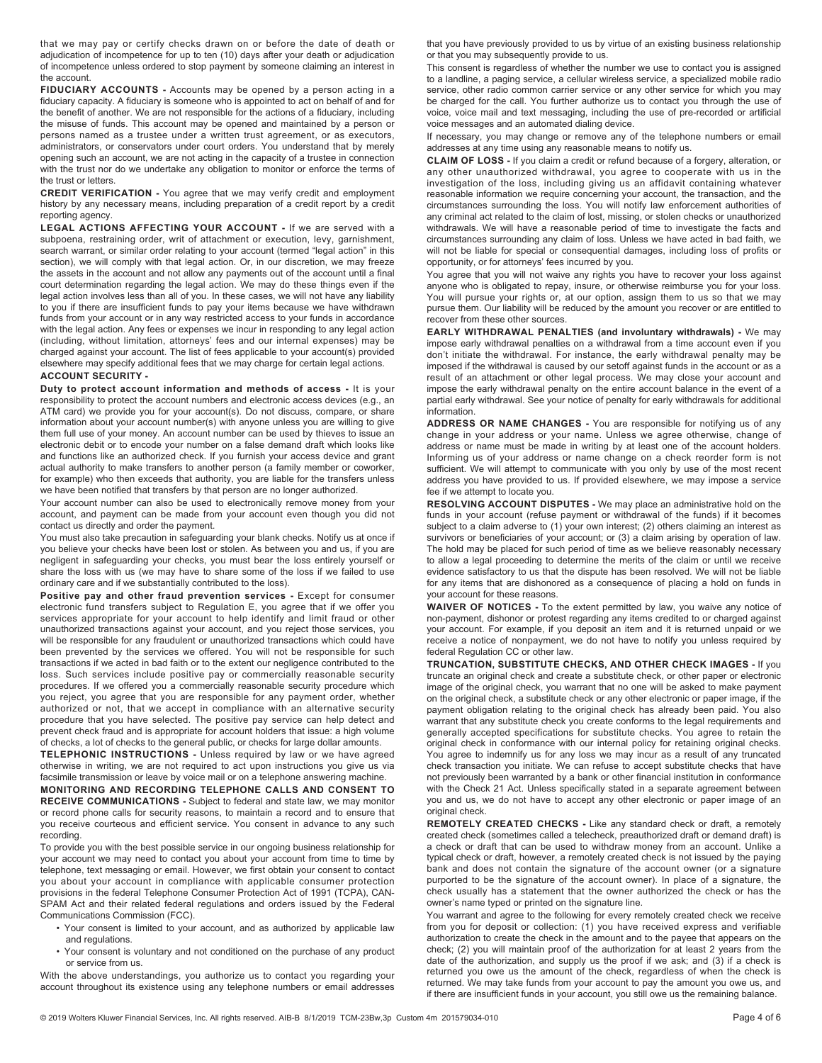that we may pay or certify checks drawn on or before the date of death or adjudication of incompetence for up to ten (10) days after your death or adjudication of incompetence unless ordered to stop payment by someone claiming an interest in the account.

**FIDUCIARY ACCOUNTS -** Accounts may be opened by a person acting in a fiduciary capacity. A fiduciary is someone who is appointed to act on behalf of and for the benefit of another. We are not responsible for the actions of a fiduciary, including the misuse of funds. This account may be opened and maintained by a person or persons named as a trustee under a written trust agreement, or as executors, administrators, or conservators under court orders. You understand that by merely opening such an account, we are not acting in the capacity of a trustee in connection with the trust nor do we undertake any obligation to monitor or enforce the terms of the trust or letters.

**CREDIT VERIFICATION -** You agree that we may verify credit and employment history by any necessary means, including preparation of a credit report by a credit reporting agency.

**LEGAL ACTIONS AFFECTING YOUR ACCOUNT -** If we are served with a subpoena, restraining order, writ of attachment or execution, levy, garnishment, search warrant, or similar order relating to your account (termed "legal action" in this section), we will comply with that legal action. Or, in our discretion, we may freeze the assets in the account and not allow any payments out of the account until a final court determination regarding the legal action. We may do these things even if the legal action involves less than all of you. In these cases, we will not have any liability to you if there are insufficient funds to pay your items because we have withdrawn funds from your account or in any way restricted access to your funds in accordance with the legal action. Any fees or expenses we incur in responding to any legal action (including, without limitation, attorneys' fees and our internal expenses) may be charged against your account. The list of fees applicable to your account(s) provided elsewhere may specify additional fees that we may charge for certain legal actions. **ACCOUNT SECURITY -** 

**Duty to protect account information and methods of access -** It is your responsibility to protect the account numbers and electronic access devices (e.g., an ATM card) we provide you for your account(s). Do not discuss, compare, or share information about your account number(s) with anyone unless you are willing to give them full use of your money. An account number can be used by thieves to issue an electronic debit or to encode your number on a false demand draft which looks like and functions like an authorized check. If you furnish your access device and grant actual authority to make transfers to another person (a family member or coworker, for example) who then exceeds that authority, you are liable for the transfers unless we have been notified that transfers by that person are no longer authorized.

Your account number can also be used to electronically remove money from your account, and payment can be made from your account even though you did not contact us directly and order the payment.

You must also take precaution in safeguarding your blank checks. Notify us at once if you believe your checks have been lost or stolen. As between you and us, if you are negligent in safeguarding your checks, you must bear the loss entirely yourself or share the loss with us (we may have to share some of the loss if we failed to use ordinary care and if we substantially contributed to the loss).

Positive pay and other fraud prevention services - Except for consumer electronic fund transfers subject to Regulation E, you agree that if we offer you services appropriate for your account to help identify and limit fraud or other unauthorized transactions against your account, and you reject those services, you will be responsible for any fraudulent or unauthorized transactions which could have been prevented by the services we offered. You will not be responsible for such transactions if we acted in bad faith or to the extent our negligence contributed to the loss. Such services include positive pay or commercially reasonable security procedures. If we offered you a commercially reasonable security procedure which you reject, you agree that you are responsible for any payment order, whether authorized or not, that we accept in compliance with an alternative security procedure that you have selected. The positive pay service can help detect and prevent check fraud and is appropriate for account holders that issue: a high volume of checks, a lot of checks to the general public, or checks for large dollar amounts.

**TELEPHONIC INSTRUCTIONS -** Unless required by law or we have agreed otherwise in writing, we are not required to act upon instructions you give us via facsimile transmission or leave by voice mail or on a telephone answering machine.

**MONITORING AND RECORDING TELEPHONE CALLS AND CONSENT TO RECEIVE COMMUNICATIONS -** Subject to federal and state law, we may monitor or record phone calls for security reasons, to maintain a record and to ensure that you receive courteous and efficient service. You consent in advance to any such recording.

To provide you with the best possible service in our ongoing business relationship for your account we may need to contact you about your account from time to time by telephone, text messaging or email. However, we first obtain your consent to contact you about your account in compliance with applicable consumer protection provisions in the federal Telephone Consumer Protection Act of 1991 (TCPA), CAN-SPAM Act and their related federal regulations and orders issued by the Federal Communications Commission (FCC).

- Your consent is limited to your account, and as authorized by applicable law and regulations.
- Your consent is voluntary and not conditioned on the purchase of any product or service from us.

With the above understandings, you authorize us to contact you regarding your account throughout its existence using any telephone numbers or email addresses

that you have previously provided to us by virtue of an existing business relationship or that you may subsequently provide to us.

This consent is regardless of whether the number we use to contact you is assigned to a landline, a paging service, a cellular wireless service, a specialized mobile radio service, other radio common carrier service or any other service for which you may be charged for the call. You further authorize us to contact you through the use of voice, voice mail and text messaging, including the use of pre-recorded or artificial voice messages and an automated dialing device.

If necessary, you may change or remove any of the telephone numbers or email addresses at any time using any reasonable means to notify us.

**CLAIM OF LOSS -** If you claim a credit or refund because of a forgery, alteration, or any other unauthorized withdrawal, you agree to cooperate with us in the investigation of the loss, including giving us an affidavit containing whatever reasonable information we require concerning your account, the transaction, and the circumstances surrounding the loss. You will notify law enforcement authorities of any criminal act related to the claim of lost, missing, or stolen checks or unauthorized withdrawals. We will have a reasonable period of time to investigate the facts and circumstances surrounding any claim of loss. Unless we have acted in bad faith, we will not be liable for special or consequential damages, including loss of profits or opportunity, or for attorneys' fees incurred by you.

You agree that you will not waive any rights you have to recover your loss against anyone who is obligated to repay, insure, or otherwise reimburse you for your loss. You will pursue your rights or, at our option, assign them to us so that we may pursue them. Our liability will be reduced by the amount you recover or are entitled to recover from these other sources.

**EARLY WITHDRAWAL PENALTIES (and involuntary withdrawals) -** We may impose early withdrawal penalties on a withdrawal from a time account even if you don't initiate the withdrawal. For instance, the early withdrawal penalty may be imposed if the withdrawal is caused by our setoff against funds in the account or as a result of an attachment or other legal process. We may close your account and impose the early withdrawal penalty on the entire account balance in the event of a partial early withdrawal. See your notice of penalty for early withdrawals for additional information.

**ADDRESS OR NAME CHANGES -** You are responsible for notifying us of any change in your address or your name. Unless we agree otherwise, change of address or name must be made in writing by at least one of the account holders. Informing us of your address or name change on a check reorder form is not sufficient. We will attempt to communicate with you only by use of the most recent address you have provided to us. If provided elsewhere, we may impose a service fee if we attempt to locate you.

**RESOLVING ACCOUNT DISPUTES -** We may place an administrative hold on the funds in your account (refuse payment or withdrawal of the funds) if it becomes subject to a claim adverse to (1) your own interest; (2) others claiming an interest as survivors or beneficiaries of your account; or (3) a claim arising by operation of law. The hold may be placed for such period of time as we believe reasonably necessary to allow a legal proceeding to determine the merits of the claim or until we receive evidence satisfactory to us that the dispute has been resolved. We will not be liable for any items that are dishonored as a consequence of placing a hold on funds in your account for these reasons.

**WAIVER OF NOTICES -** To the extent permitted by law, you waive any notice of non-payment, dishonor or protest regarding any items credited to or charged against your account. For example, if you deposit an item and it is returned unpaid or we receive a notice of nonpayment, we do not have to notify you unless required by federal Regulation CC or other law.

**TRUNCATION, SUBSTITUTE CHECKS, AND OTHER CHECK IMAGES -** If you truncate an original check and create a substitute check, or other paper or electronic image of the original check, you warrant that no one will be asked to make payment on the original check, a substitute check or any other electronic or paper image, if the payment obligation relating to the original check has already been paid. You also warrant that any substitute check you create conforms to the legal requirements and generally accepted specifications for substitute checks. You agree to retain the original check in conformance with our internal policy for retaining original checks. You agree to indemnify us for any loss we may incur as a result of any truncated check transaction you initiate. We can refuse to accept substitute checks that have not previously been warranted by a bank or other financial institution in conformance with the Check 21 Act. Unless specifically stated in a separate agreement between you and us, we do not have to accept any other electronic or paper image of an original check.

**REMOTELY CREATED CHECKS -** Like any standard check or draft, a remotely created check (sometimes called a telecheck, preauthorized draft or demand draft) is a check or draft that can be used to withdraw money from an account. Unlike a typical check or draft, however, a remotely created check is not issued by the paying bank and does not contain the signature of the account owner (or a signature purported to be the signature of the account owner). In place of a signature, the check usually has a statement that the owner authorized the check or has the owner's name typed or printed on the signature line.

You warrant and agree to the following for every remotely created check we receive from you for deposit or collection: (1) you have received express and verifiable authorization to create the check in the amount and to the payee that appears on the check; (2) you will maintain proof of the authorization for at least 2 years from the date of the authorization, and supply us the proof if we ask; and (3) if a check is returned you owe us the amount of the check, regardless of when the check is returned. We may take funds from your account to pay the amount you owe us, and if there are insufficient funds in your account, you still owe us the remaining balance.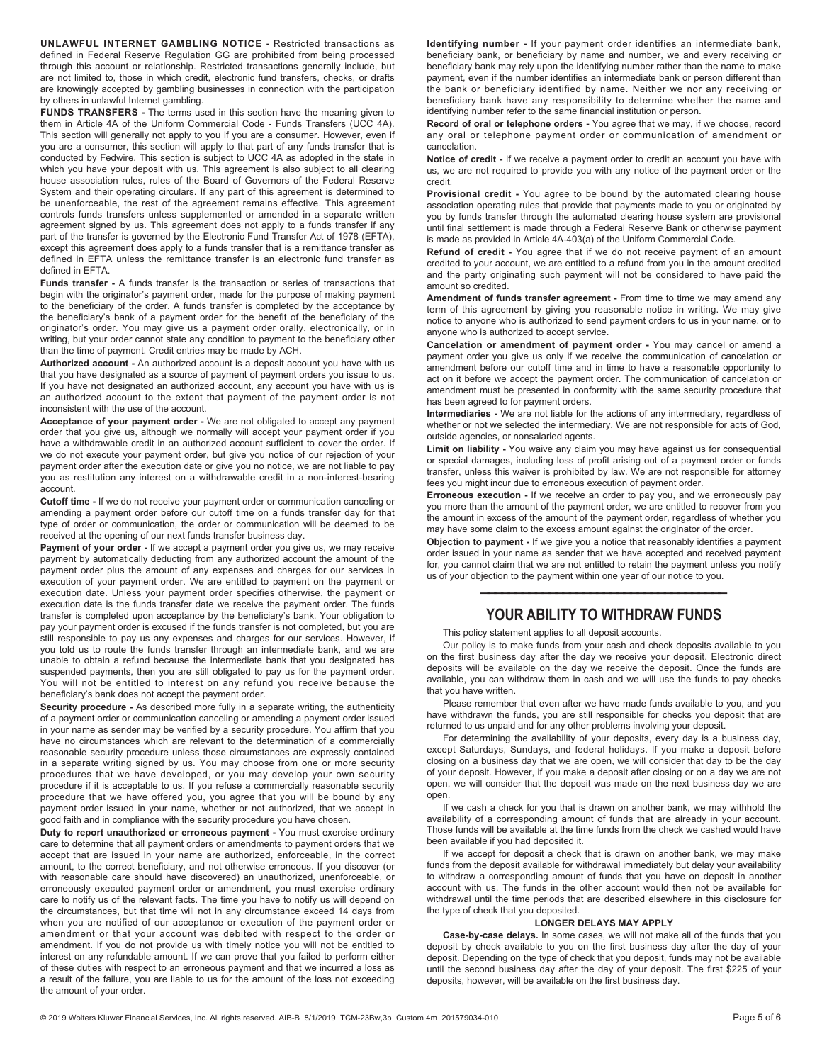**UNLAWFUL INTERNET GAMBLING NOTICE -** Restricted transactions as defined in Federal Reserve Regulation GG are prohibited from being processed through this account or relationship. Restricted transactions generally include, but are not limited to, those in which credit, electronic fund transfers, checks, or drafts are knowingly accepted by gambling businesses in connection with the participation by others in unlawful Internet gambling.

**FUNDS TRANSFERS -** The terms used in this section have the meaning given to them in Article 4A of the Uniform Commercial Code - Funds Transfers (UCC 4A). This section will generally not apply to you if you are a consumer. However, even if you are a consumer, this section will apply to that part of any funds transfer that is conducted by Fedwire. This section is subject to UCC 4A as adopted in the state in which you have your deposit with us. This agreement is also subject to all clearing house association rules, rules of the Board of Governors of the Federal Reserve System and their operating circulars. If any part of this agreement is determined to be unenforceable, the rest of the agreement remains effective. This agreement controls funds transfers unless supplemented or amended in a separate written agreement signed by us. This agreement does not apply to a funds transfer if any part of the transfer is governed by the Electronic Fund Transfer Act of 1978 (EFTA), except this agreement does apply to a funds transfer that is a remittance transfer as defined in EFTA unless the remittance transfer is an electronic fund transfer as defined in EFTA.

**Funds transfer -** A funds transfer is the transaction or series of transactions that begin with the originator's payment order, made for the purpose of making payment to the beneficiary of the order. A funds transfer is completed by the acceptance by the beneficiary's bank of a payment order for the benefit of the beneficiary of the originator's order. You may give us a payment order orally, electronically, or in writing, but your order cannot state any condition to payment to the beneficiary other than the time of payment. Credit entries may be made by ACH.

**Authorized account -** An authorized account is a deposit account you have with us that you have designated as a source of payment of payment orders you issue to us. If you have not designated an authorized account, any account you have with us is an authorized account to the extent that payment of the payment order is not inconsistent with the use of the account.

**Acceptance of your payment order -** We are not obligated to accept any payment order that you give us, although we normally will accept your payment order if you have a withdrawable credit in an authorized account sufficient to cover the order. If we do not execute your payment order, but give you notice of our rejection of your payment order after the execution date or give you no notice, we are not liable to pay you as restitution any interest on a withdrawable credit in a non-interest-bearing account.

**Cutoff time -** If we do not receive your payment order or communication canceling or amending a payment order before our cutoff time on a funds transfer day for that type of order or communication, the order or communication will be deemed to be received at the opening of our next funds transfer business day.

**Payment of your order -** If we accept a payment order you give us, we may receive payment by automatically deducting from any authorized account the amount of the payment order plus the amount of any expenses and charges for our services in execution of your payment order. We are entitled to payment on the payment or execution date. Unless your payment order specifies otherwise, the payment or execution date is the funds transfer date we receive the payment order. The funds transfer is completed upon acceptance by the beneficiary's bank. Your obligation to pay your payment order is excused if the funds transfer is not completed, but you are still responsible to pay us any expenses and charges for our services. However, if you told us to route the funds transfer through an intermediate bank, and we are unable to obtain a refund because the intermediate bank that you designated has suspended payments, then you are still obligated to pay us for the payment order. You will not be entitled to interest on any refund you receive because the beneficiary's bank does not accept the payment order.

**Security procedure -** As described more fully in a separate writing, the authenticity of a payment order or communication canceling or amending a payment order issued in your name as sender may be verified by a security procedure. You affirm that you have no circumstances which are relevant to the determination of a commercially reasonable security procedure unless those circumstances are expressly contained in a separate writing signed by us. You may choose from one or more security procedures that we have developed, or you may develop your own security procedure if it is acceptable to us. If you refuse a commercially reasonable security procedure that we have offered you, you agree that you will be bound by any payment order issued in your name, whether or not authorized, that we accept in good faith and in compliance with the security procedure you have chosen.

**Duty to report unauthorized or erroneous payment -** You must exercise ordinary care to determine that all payment orders or amendments to payment orders that we accept that are issued in your name are authorized, enforceable, in the correct amount, to the correct beneficiary, and not otherwise erroneous. If you discover (or with reasonable care should have discovered) an unauthorized, unenforceable, or erroneously executed payment order or amendment, you must exercise ordinary care to notify us of the relevant facts. The time you have to notify us will depend on the circumstances, but that time will not in any circumstance exceed 14 days from when you are notified of our acceptance or execution of the payment order or amendment or that your account was debited with respect to the order or amendment. If you do not provide us with timely notice you will not be entitled to interest on any refundable amount. If we can prove that you failed to perform either of these duties with respect to an erroneous payment and that we incurred a loss as a result of the failure, you are liable to us for the amount of the loss not exceeding the amount of your order.

**Identifying number -** If your payment order identifies an intermediate bank, beneficiary bank, or beneficiary by name and number, we and every receiving or beneficiary bank may rely upon the identifying number rather than the name to make payment, even if the number identifies an intermediate bank or person different than the bank or beneficiary identified by name. Neither we nor any receiving or beneficiary bank have any responsibility to determine whether the name and identifying number refer to the same financial institution or person.

**Record of oral or telephone orders -** You agree that we may, if we choose, record any oral or telephone payment order or communication of amendment or cancelation.

**Notice of credit -** If we receive a payment order to credit an account you have with us, we are not required to provide you with any notice of the payment order or the credit.

**Provisional credit -** You agree to be bound by the automated clearing house association operating rules that provide that payments made to you or originated by you by funds transfer through the automated clearing house system are provisional until final settlement is made through a Federal Reserve Bank or otherwise payment is made as provided in Article 4A-403(a) of the Uniform Commercial Code.

**Refund of credit -** You agree that if we do not receive payment of an amount credited to your account, we are entitled to a refund from you in the amount credited and the party originating such payment will not be considered to have paid the amount so credited.

**Amendment of funds transfer agreement -** From time to time we may amend any term of this agreement by giving you reasonable notice in writing. We may give notice to anyone who is authorized to send payment orders to us in your name, or to anyone who is authorized to accept service.

**Cancelation or amendment of payment order -** You may cancel or amend a payment order you give us only if we receive the communication of cancelation or amendment before our cutoff time and in time to have a reasonable opportunity to act on it before we accept the payment order. The communication of cancelation or amendment must be presented in conformity with the same security procedure that has been agreed to for payment orders.

**Intermediaries -** We are not liable for the actions of any intermediary, regardless of whether or not we selected the intermediary. We are not responsible for acts of God, outside agencies, or nonsalaried agents.

**Limit on liability -** You waive any claim you may have against us for consequential or special damages, including loss of profit arising out of a payment order or funds transfer, unless this waiver is prohibited by law. We are not responsible for attorney fees you might incur due to erroneous execution of payment order.

**Erroneous execution -** If we receive an order to pay you, and we erroneously pay you more than the amount of the payment order, we are entitled to recover from you the amount in excess of the amount of the payment order, regardless of whether you may have some claim to the excess amount against the originator of the order.

**Objection to payment -** If we give you a notice that reasonably identifies a payment order issued in your name as sender that we have accepted and received payment for, you cannot claim that we are not entitled to retain the payment unless you notify us of your objection to the payment within one year of our notice to you.

## ———————————————————————————————————— **YOUR ABILITY TO WITHDRAW FUNDS**

This policy statement applies to all deposit accounts.

Our policy is to make funds from your cash and check deposits available to you on the first business day after the day we receive your deposit. Electronic direct deposits will be available on the day we receive the deposit. Once the funds are available, you can withdraw them in cash and we will use the funds to pay checks that you have written.

Please remember that even after we have made funds available to you, and you have withdrawn the funds, you are still responsible for checks you deposit that are returned to us unpaid and for any other problems involving your deposit.

For determining the availability of your deposits, every day is a business day, except Saturdays, Sundays, and federal holidays. If you make a deposit before closing on a business day that we are open, we will consider that day to be the day of your deposit. However, if you make a deposit after closing or on a day we are not open, we will consider that the deposit was made on the next business day we are open.

If we cash a check for you that is drawn on another bank, we may withhold the availability of a corresponding amount of funds that are already in your account. Those funds will be available at the time funds from the check we cashed would have been available if you had deposited it.

If we accept for deposit a check that is drawn on another bank, we may make funds from the deposit available for withdrawal immediately but delay your availability to withdraw a corresponding amount of funds that you have on deposit in another account with us. The funds in the other account would then not be available for withdrawal until the time periods that are described elsewhere in this disclosure for the type of check that you deposited.

### **LONGER DELAYS MAY APPLY**

**Case-by-case delays.** In some cases, we will not make all of the funds that you deposit by check available to you on the first business day after the day of your deposit. Depending on the type of check that you deposit, funds may not be available until the second business day after the day of your deposit. The first \$225 of your deposits, however, will be available on the first business day.